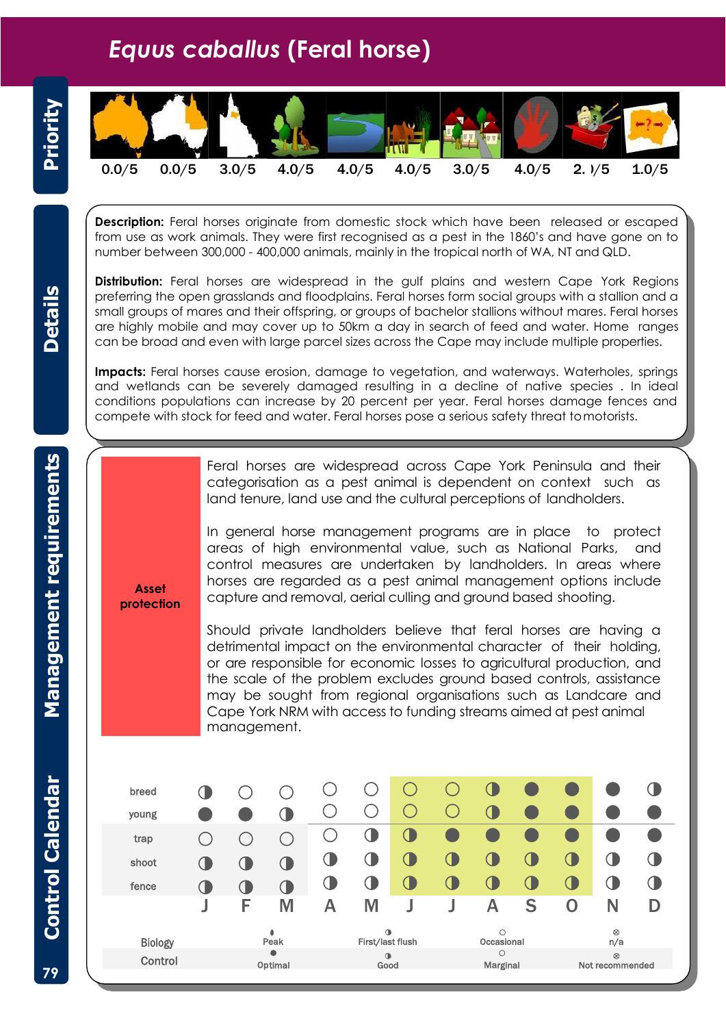## *Equus caballus* **(Feral horse)**



| Priority                |                                                                                                                                                                                                                                                                                                                                                                                                                                                                                                                     |                                                                                                                                                                                                                                                                                                                                                                                                                                                                                                                                                                                                                                                                                                                                                                                                                                                                                                                                                                                                                                        |             |            |            |            |                     |                  |                          |                     |             |             |                              |       |  |
|-------------------------|---------------------------------------------------------------------------------------------------------------------------------------------------------------------------------------------------------------------------------------------------------------------------------------------------------------------------------------------------------------------------------------------------------------------------------------------------------------------------------------------------------------------|----------------------------------------------------------------------------------------------------------------------------------------------------------------------------------------------------------------------------------------------------------------------------------------------------------------------------------------------------------------------------------------------------------------------------------------------------------------------------------------------------------------------------------------------------------------------------------------------------------------------------------------------------------------------------------------------------------------------------------------------------------------------------------------------------------------------------------------------------------------------------------------------------------------------------------------------------------------------------------------------------------------------------------------|-------------|------------|------------|------------|---------------------|------------------|--------------------------|---------------------|-------------|-------------|------------------------------|-------|--|
|                         | 0.0/5                                                                                                                                                                                                                                                                                                                                                                                                                                                                                                               | 0.0/5                                                                                                                                                                                                                                                                                                                                                                                                                                                                                                                                                                                                                                                                                                                                                                                                                                                                                                                                                                                                                                  |             | 3.0/5      | 4.0/5      |            | 4.0/5               | 4.0/5            |                          | 3.0/5               | 4.0/5       |             | 2.1/5                        | 1.0/5 |  |
|                         | <b>Description:</b> Feral horses originate from domestic stock which have been released or escaped<br>from use as work animals. They were first recognised as a pest in the 1860's and have gone on to<br>number between 300,000 - 400,000 animals, mainly in the tropical north of WA, NT and QLD.                                                                                                                                                                                                                 |                                                                                                                                                                                                                                                                                                                                                                                                                                                                                                                                                                                                                                                                                                                                                                                                                                                                                                                                                                                                                                        |             |            |            |            |                     |                  |                          |                     |             |             |                              |       |  |
| <b>Details</b>          | <b>Distribution:</b> Feral horses are widespread in the gulf plains and western Cape York Regions<br>preferring the open grasslands and floodplains. Feral horses form social groups with a stallion and a<br>small groups of mares and their offspring, or groups of bachelor stallions without mares. Feral horses<br>are highly mobile and may cover up to 50km a day in search of feed and water. Home ranges<br>can be broad and even with large parcel sizes across the Cape may include multiple properties. |                                                                                                                                                                                                                                                                                                                                                                                                                                                                                                                                                                                                                                                                                                                                                                                                                                                                                                                                                                                                                                        |             |            |            |            |                     |                  |                          |                     |             |             |                              |       |  |
|                         | Impacts: Feral horses cause erosion, damage to vegetation, and waterways. Waterholes, springs<br>and wetlands can be severely damaged resulting in a decline of native species. In ideal<br>conditions populations can increase by 20 percent per year. Feral horses damage fences and<br>compete with stock for feed and water. Feral horses pose a serious safety threat tomotorists.                                                                                                                             |                                                                                                                                                                                                                                                                                                                                                                                                                                                                                                                                                                                                                                                                                                                                                                                                                                                                                                                                                                                                                                        |             |            |            |            |                     |                  |                          |                     |             |             |                              |       |  |
| Management requirements |                                                                                                                                                                                                                                                                                                                                                                                                                                                                                                                     | Feral horses are widespread across Cape York Peninsula and their<br>categorisation as a pest animal is dependent on context such as<br>land tenure, land use and the cultural perceptions of landholders.<br>In general horse management programs are in place to protect<br>areas of high environmental value, such as National Parks,<br>and<br>control measures are undertaken by landholders. In areas where<br>horses are regarded as a pest animal management options include<br><b>Asset</b><br>capture and removal, aerial culling and ground based shooting.<br>protection<br>Should private landholders believe that feral horses are having a<br>detrimental impact on the environmental character of their holding,<br>or are responsible for economic losses to agricultural production, and<br>the scale of the problem excludes ground based controls, assistance<br>may be sought from regional organisations such as Landcare and<br>Cape York NRM with access to funding streams aimed at pest animal<br>management. |             |            |            |            |                     |                  |                          |                     |             |             |                              |       |  |
| <b>Control Calendar</b> | breed<br>young                                                                                                                                                                                                                                                                                                                                                                                                                                                                                                      |                                                                                                                                                                                                                                                                                                                                                                                                                                                                                                                                                                                                                                                                                                                                                                                                                                                                                                                                                                                                                                        |             |            |            | $\bigcirc$ | O                   | O                | $\bigcirc$<br>$\bigcirc$ | $\mathbf 0$         |             |             |                              |       |  |
|                         | trap                                                                                                                                                                                                                                                                                                                                                                                                                                                                                                                |                                                                                                                                                                                                                                                                                                                                                                                                                                                                                                                                                                                                                                                                                                                                                                                                                                                                                                                                                                                                                                        | ◯           | ○          | ◯          | $\bigcirc$ | $\bigcirc$          | $\bigcirc$       |                          |                     |             |             |                              |       |  |
|                         | shoot                                                                                                                                                                                                                                                                                                                                                                                                                                                                                                               |                                                                                                                                                                                                                                                                                                                                                                                                                                                                                                                                                                                                                                                                                                                                                                                                                                                                                                                                                                                                                                        |             | $\bigcirc$ | $\bigcirc$ | $\bigcirc$ | $\mathbf 0$         | $\mathbf 0$      | $\mathbf 0$              | $\mathbf 0$         | 0           | $\mathbf 0$ | ◑                            |       |  |
|                         | fence                                                                                                                                                                                                                                                                                                                                                                                                                                                                                                               |                                                                                                                                                                                                                                                                                                                                                                                                                                                                                                                                                                                                                                                                                                                                                                                                                                                                                                                                                                                                                                        | $\mathbf 0$ | $\bigcirc$ | $\bigcirc$ | $\bigcirc$ | $\mathbf 0$         | $\mathbf 0$      | $\mathbf 0$              | $\mathbf 0$         | $\mathbf 0$ | $\bigcirc$  | $\bigcirc$                   |       |  |
|                         |                                                                                                                                                                                                                                                                                                                                                                                                                                                                                                                     |                                                                                                                                                                                                                                                                                                                                                                                                                                                                                                                                                                                                                                                                                                                                                                                                                                                                                                                                                                                                                                        |             | F          | M          | A          | M                   |                  | J                        | A                   | S           | 0           | N                            | D     |  |
|                         |                                                                                                                                                                                                                                                                                                                                                                                                                                                                                                                     | <b>Biology</b>                                                                                                                                                                                                                                                                                                                                                                                                                                                                                                                                                                                                                                                                                                                                                                                                                                                                                                                                                                                                                         |             | Peak       |            |            |                     | First/last flush |                          | О<br>Occasional     |             |             | ⊗<br>n/a                     |       |  |
| 79                      |                                                                                                                                                                                                                                                                                                                                                                                                                                                                                                                     | Control                                                                                                                                                                                                                                                                                                                                                                                                                                                                                                                                                                                                                                                                                                                                                                                                                                                                                                                                                                                                                                |             |            | Optimal    |            | $\mathbf 0$<br>Good |                  |                          | $\circ$<br>Marginal |             |             | $\otimes$<br>Not recommended |       |  |